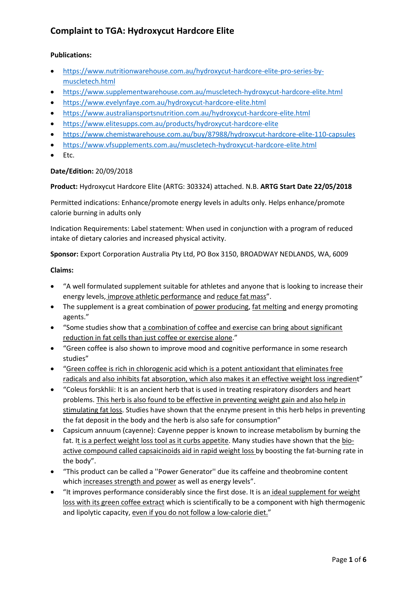# **Publications:**

- [https://www.nutritionwarehouse.com.au/hydroxycut-hardcore-elite-pro-series-by](https://www.nutritionwarehouse.com.au/hydroxycut-hardcore-elite-pro-series-by-muscletech.html)[muscletech.html](https://www.nutritionwarehouse.com.au/hydroxycut-hardcore-elite-pro-series-by-muscletech.html)
- <https://www.supplementwarehouse.com.au/muscletech-hydroxycut-hardcore-elite.html>
- <https://www.evelynfaye.com.au/hydroxycut-hardcore-elite.html>
- <https://www.australiansportsnutrition.com.au/hydroxycut-hardcore-elite.html>
- <https://www.elitesupps.com.au/products/hydroxycut-hardcore-elite>
- <https://www.chemistwarehouse.com.au/buy/87988/hydroxycut-hardcore-elite-110-capsules>
- <https://www.vfsupplements.com.au/muscletech-hydroxycut-hardcore-elite.html>
- Etc.

# **Date/Edition:** 20/09/2018

# **Product:** Hydroxycut Hardcore Elite (ARTG: 303324) attached. N.B. **ARTG Start Date 22/05/2018**

Permitted indications: Enhance/promote energy levels in adults only. Helps enhance/promote calorie burning in adults only

Indication Requirements: Label statement: When used in conjunction with a program of reduced intake of dietary calories and increased physical activity.

**Sponsor:** Export Corporation Australia Pty Ltd, PO Box 3150, BROADWAY NEDLANDS, WA, 6009

# **Claims:**

- "A well formulated supplement suitable for athletes and anyone that is looking to increase their energy levels, improve athletic performance and reduce fat mass".
- The supplement is a great combination of power producing, fat melting and energy promoting agents."
- "Some studies show that a combination of coffee and exercise can bring about significant reduction in fat cells than just coffee or exercise alone."
- "Green coffee is also shown to improve mood and cognitive performance in some research studies"
- "Green coffee is rich in chlorogenic acid which is a potent antioxidant that eliminates free radicals and also inhibits fat absorption, which also makes it an effective weight loss ingredient"
- "Coleus forskhlii: It is an ancient herb that is used in treating respiratory disorders and heart problems. This herb is also found to be effective in preventing weight gain and also help in stimulating fat loss. Studies have shown that the enzyme present in this herb helps in preventing the fat deposit in the body and the herb is also safe for consumption"
- Capsicum annuum (cayenne): Cayenne pepper is known to increase metabolism by burning the fat. It is a perfect weight loss tool as it curbs appetite. Many studies have shown that the bioactive compound called capsaicinoids aid in rapid weight loss by boosting the fat-burning rate in the body".
- "This product can be called a ''Power Generator'' due its caffeine and theobromine content which increases strength and power as well as energy levels".
- "It improves performance considerably since the first dose. It is an ideal supplement for weight loss with its green coffee extract which is scientifically to be a component with high thermogenic and lipolytic capacity, even if you do not follow a low-calorie diet."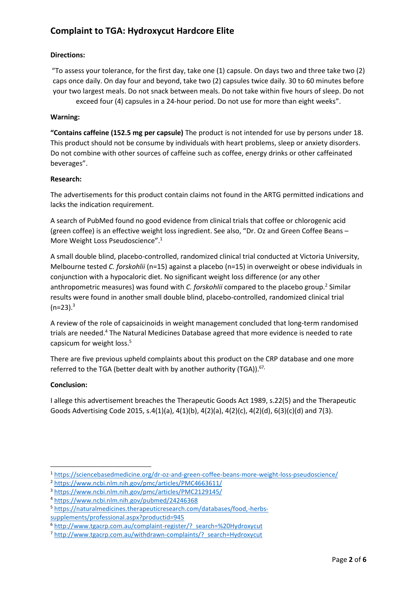# **Directions:**

"To assess your tolerance, for the first day, take one (1) capsule. On days two and three take two (2) caps once daily. On day four and beyond, take two (2) capsules twice daily. 30 to 60 minutes before your two largest meals. Do not snack between meals. Do not take within five hours of sleep. Do not exceed four (4) capsules in a 24-hour period. Do not use for more than eight weeks".

# **Warning:**

**"Contains caffeine (152.5 mg per capsule)** The product is not intended for use by persons under 18. This product should not be consume by individuals with heart problems, sleep or anxiety disorders. Do not combine with other sources of caffeine such as coffee, energy drinks or other caffeinated beverages".

### **Research:**

The advertisements for this product contain claims not found in the ARTG permitted indications and lacks the indication requirement.

A search of PubMed found no good evidence from clinical trials that coffee or chlorogenic acid (green coffee) is an effective weight loss ingredient. See also, "Dr. Oz and Green Coffee Beans – More Weight Loss Pseudoscience". 1

A small double blind, placebo-controlled, randomized clinical trial conducted at Victoria University, Melbourne tested *C. forskohlii* (n=15) against a placebo (n=15) in overweight or obese individuals in conjunction with a hypocaloric diet. No significant weight loss difference (or any other anthropometric measures) was found with *C. forskohlii* compared to the placebo group. 2 Similar results were found in another small double blind, placebo-controlled, randomized clinical trial  $(n=23).$ <sup>3</sup>

A review of the role of capsaicinoids in weight management concluded that long-term randomised trials are needed.<sup>4</sup> The Natural Medicines Database agreed that more evidence is needed to rate capsicum for weight loss.<sup>5</sup>

There are five previous upheld complaints about this product on the CRP database and one more referred to the TGA (better dealt with by another authority (TGA)).<sup>67,</sup>

### **Conclusion:**

1

I allege this advertisement breaches the Therapeutic Goods Act 1989, s.22(5) and the Therapeutic Goods Advertising Code 2015, s.4(1)(a), 4(1)(b), 4(2)(a), 4(2)(c), 4(2)(d), 6(3)(c)(d) and 7(3).

<sup>1</sup> <https://sciencebasedmedicine.org/dr-oz-and-green-coffee-beans-more-weight-loss-pseudoscience/>

<sup>2</sup> <https://www.ncbi.nlm.nih.gov/pmc/articles/PMC4663611/>

<sup>3</sup> <https://www.ncbi.nlm.nih.gov/pmc/articles/PMC2129145/>

<sup>4</sup> <https://www.ncbi.nlm.nih.gov/pubmed/24246368>

<sup>5</sup> [https://naturalmedicines.therapeuticresearch.com/databases/food,-herbs](https://naturalmedicines.therapeuticresearch.com/databases/food,-herbs-supplements/professional.aspx?productid=945)[supplements/professional.aspx?productid=945](https://naturalmedicines.therapeuticresearch.com/databases/food,-herbs-supplements/professional.aspx?productid=945)

<sup>6</sup> [http://www.tgacrp.com.au/complaint-register/?\\_search=%20Hydroxycut](http://www.tgacrp.com.au/complaint-register/?_search=%20Hydroxycut)

<sup>&</sup>lt;sup>7</sup> [http://www.tgacrp.com.au/withdrawn-complaints/?\\_search=Hydroxycut](http://www.tgacrp.com.au/withdrawn-complaints/?_search=Hydroxycut)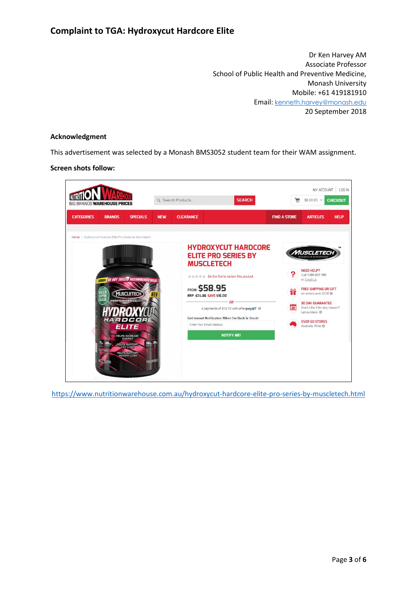Dr Ken Harvey AM Associate Professor School of Public Health and Preventive Medicine, Monash University Mobile: +61 419181910 Email: [kenneth.harvey@monash.edu](mailto:kenneth.harvey@monash.edu) 20 September 2018

### **Acknowledgment**

This advertisement was selected by a Monash BMS3052 student team for their WAM assignment.

### **Screen shots follow:**



<https://www.nutritionwarehouse.com.au/hydroxycut-hardcore-elite-pro-series-by-muscletech.html>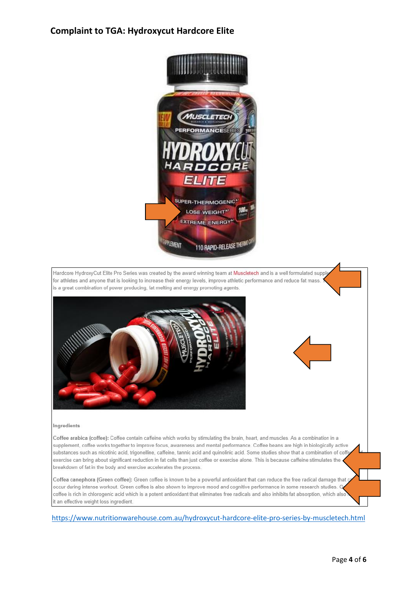

Hardcore HydroxyCut Elite Pro Series was created by the award winning team at Muscletech and is a well formulated supple for athletes and anyone that is looking to increase their energy levels, improve athletic performance and reduce fat mass. is a great combination of power producing, fat melting and energy promoting agents.



### Ingredients

Coffee arabica (coffee): Coffee contain caffeine which works by stimulating the brain, heart, and muscles. As a combination in a supplement, coffee works together to improve focus, awareness and mental performance. Coffee beans are high in biologically active substances such as nicotinic acid, trigonelline, caffeine, tannic acid and quinolinic acid. Some studies show that a combination of coffe exercise can bring about significant reduction in fat cells than just coffee or exercise alone. This is because caffeine stimulates the breakdown of fat in the body and exercise accelerates the process.

Coffea canephora (Green coffee): Green coffee is known to be a powerful antioxidant that can reduce the free radical damage that ( occur during intense workout. Green coffee is also shown to improve mood and cognitive performance in some research studies. Gr coffee is rich in chlorogenic acid which is a potent antioxidant that eliminates free radicals and also inhibits fat absorption, which also it an effective weight loss ingredient.

<https://www.nutritionwarehouse.com.au/hydroxycut-hardcore-elite-pro-series-by-muscletech.html>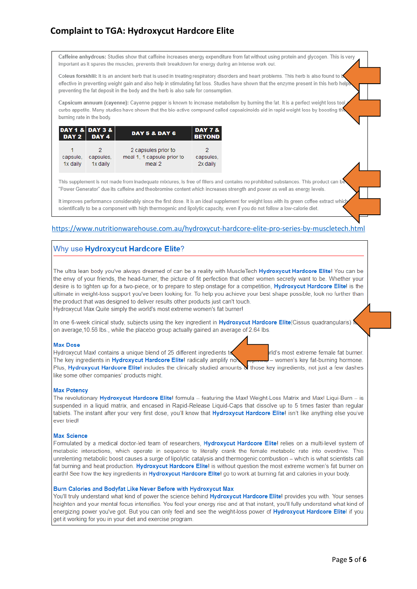Caffeine anhydrous: Studies show that caffeine increases energy expenditure from fat without using protein and glycogen. This is very important as it spares the muscles, prevents their breakdown for energy during an intense work out.

Coleus forskhlii: It is an ancient herb that is used in treating respiratory disorders and heart problems. This herb is also found to b effective in preventing weight gain and also help in stimulating fat loss. Studies have shown that the enzyme present in this herb help preventing the fat deposit in the body and the herb is also safe for consumption.

Capsicum annuum (cayenne): Cayenne pepper is known to increase metabolism by burning the fat. It is a perfect weight loss tool curbs appetite. Many studies have shown that the bio-active compound called capsaicinoids aid in rapid weight loss by boosting the burning rate in the body.

| DAY 1 & DAY 3 &<br>DAY 2 DAY 4 |                       | <b>DAY 5 &amp; DAY 6</b>                                               | <b>DAY 7 &amp;</b><br><b>BEYOND</b> |  |
|--------------------------------|-----------------------|------------------------------------------------------------------------|-------------------------------------|--|
| capsule.<br>1x daily           | capsules.<br>1x daily | 2 capsules prior to<br>meal 1, 1 capsule prior to<br>meal <sub>2</sub> | capsules.<br>2x daily               |  |

This supplement is not made from inadequate mixtures, is free of fillers and contains no prohibited substances. This product can be "Power Generator" due its caffeine and theobromine content which increases strength and power as well as energy levels.

It improves performance considerably since the first dose. It is an ideal supplement for weight loss with its green coffee extract which scientifically to be a component with high thermogenic and lipolytic capacity, even if you do not follow a low-calorie diet.

# <https://www.nutritionwarehouse.com.au/hydroxycut-hardcore-elite-pro-series-by-muscletech.html>

# Why use Hydroxycut Hardcore Elite?

The ultra lean body you've always dreamed of can be a reality with MuscleTech Hydroxycut Hardcore Elitel You can be the envy of your friends, the head-turner, the picture of fit perfection that other women secretly want to be. Whether your desire is to tighten up for a two-piece, or to prepare to step onstage for a competition, Hydroxycut Hardcore Elite! is the ultimate in weight-loss support you've been looking for. To help you achieve your best shape possible, look no further than the product that was designed to deliver results other products just can't touch. Hydroxycut Max Quite simply the world's most extreme women's fat burner!

In one 6-week clinical study, subjects using the key ingredient in Hydroxycut Hardcore Elite(Cissus quadrangularis) if on average, 10.56 lbs., while the placebo group actually gained an average of 2.64 lbs.

### **Max Dose**

Hydroxycut Max! contains a unique blend of 25 different ingredients to The key ingredients in Hydroxycut Hardcore Elite! radically amplify no Plus, Hydroxycut Hardcore Elite! includes the clinically studied amounts of those key ingredients, not just a few dashes like some other companies' products might.

rld's most extreme female fat burner. - women's key fat-burning hormone.

### **Max Potency**

The revolutionary Hydroxycut Hardcore Elite! formula - featuring the Max! Weight-Loss Matrix and Max! Liqui-Burn - is suspended in a liquid matrix, and encased in Rapid-Release Liquid-Caps that dissolve up to 5 times faster than regular tablets. The instant after your very first dose, you'll know that Hydroxycut Hardcore Elite! isn't like anything else you've ever tried!

### **Max Science**

Formulated by a medical doctor-led team of researchers, Hydroxycut Hardcore Elite! relies on a multi-level system of metabolic interactions, which operate in sequence to literally crank the female metabolic rate into overdrive. This unrelenting metabolic boost causes a surge of lipolytic catalysis and thermogenic combustion - which is what scientists call fat burning and heat production. Hydroxycut Hardcore Elite! is without question the most extreme women's fat burner on earth! See how the key ingredients in Hydroxycut Hardcore Elite! go to work at burning fat and calories in your body.

### Burn Calories and Bodyfat Like Never Before with Hydroxycut Max

You'll truly understand what kind of power the science behind Hydroxycut Hardcore Elite! provides you with. Your senses heighten and your mental focus intensifies. You feel your energy rise and at that instant, you'll fully understand what kind of energizing power you've got. But you can only feel and see the weight-loss power of Hydroxycut Hardcore Elite! if you get it working for you in your diet and exercise program.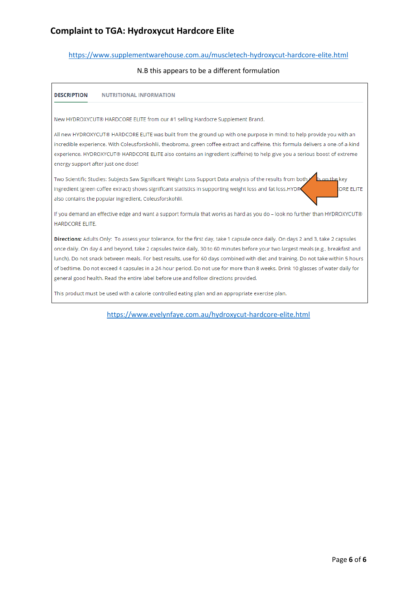### <https://www.supplementwarehouse.com.au/muscletech-hydroxycut-hardcore-elite.html>

### N.B this appears to be a different formulation

#### **DESCRIPTION NUTRITIONAL INFORMATION**

New HYDROXYCUT® HARDCORE ELITE from our #1 selling Hardocre Supplement Brand.

All new HYDROXYCUT® HARDCORE ELITE was built from the ground up with one purpose in mind: to help provide you with an incredible experience. With Coleusforskohlii, theobroma, green coffee extract and caffeine, this formula delivers a one-of-a-kind experience. HYDROXYCUT® HARDCORE ELITE also contains an ingredient (caffeine) to help give you a serious boost of extreme energy support after just one dose!

Two Scientific Studies: Subjects Saw Significant Weight Loss Support Data analysis of the results from both on the key ingredient (green coffee extract) shows significant statistics in supporting weight loss and fat loss.HYDR ORE ELITE also contains the popular ingredient, Coleusforskohlii.

If you demand an effective edge and want a support formula that works as hard as you do - look no further than HYDROXYCUT® HARDCORE ELITE.

Directions: Adults Only: To assess your tolerance, for the first day, take 1 capsule once daily. On days 2 and 3, take 2 capsules once daily. On day 4 and beyond, take 2 capsules twice daily, 30 to 60 minutes before your two largest meals (e.g., breakfast and lunch). Do not snack between meals. For best results, use for 60 days combined with diet and training. Do not take within 5 hours of bedtime. Do not exceed 4 capsules in a 24-hour period. Do not use for more than 8 weeks. Drink 10 glasses of water daily for general good health. Read the entire label before use and follow directions provided.

This product must be used with a calorie controlled eating plan and an appropriate exercise plan.

<https://www.evelynfaye.com.au/hydroxycut-hardcore-elite.html>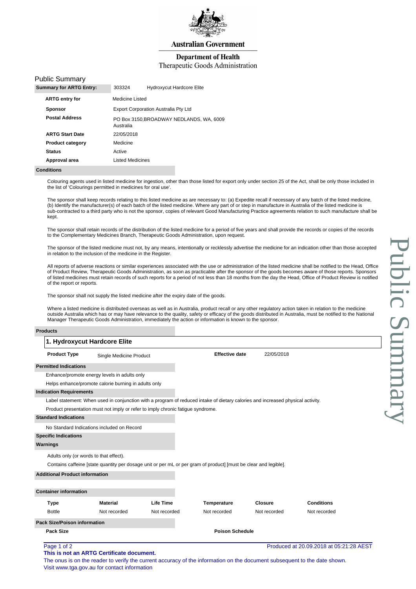

**Australian Government** 

### **Department of Health**

### Therapeutic Goods Administration

|  | <b>Public Summary</b> |
|--|-----------------------|
|--|-----------------------|

| <b>Summary for ARTG Entry:</b> | 303324                               | <b>Hydroxycut Hardcore Elite</b>         |  |  |
|--------------------------------|--------------------------------------|------------------------------------------|--|--|
| <b>ARTG entry for</b>          | Medicine Listed                      |                                          |  |  |
| <b>Sponsor</b>                 | Export Corporation Australia Pty Ltd |                                          |  |  |
| <b>Postal Address</b>          | Australia                            | PO Box 3150, BROADWAY NEDLANDS, WA, 6009 |  |  |
| <b>ARTG Start Date</b>         | 22/05/2018                           |                                          |  |  |
| <b>Product category</b>        | Medicine                             |                                          |  |  |
| <b>Status</b>                  | Active                               |                                          |  |  |
| Approval area                  | <b>Listed Medicines</b>              |                                          |  |  |
|                                |                                      |                                          |  |  |

#### **Conditions**

Colouring agents used in listed medicine for ingestion, other than those listed for export only under section 25 of the Act, shall be only those included in the list of 'Colourings permitted in medicines for oral use'.

The sponsor shall keep records relating to this listed medicine as are necessary to: (a) Expedite recall if necessary of any batch of the listed medicine, (b) Identify the manufacturer(s) of each batch of the listed medicine. Where any part of or step in manufacture in Australia of the listed medicine is sub-contracted to a third party who is not the sponsor, copies of relevant Good Manufacturing Practice agreements relation to such manufacture shall be kept.

The sponsor shall retain records of the distribution of the listed medicine for a period of five years and shall provide the records or copies of the records to the Complementary Medicines Branch, Therapeutic Goods Administration, upon request.

The sponsor of the listed medicine must not, by any means, intentionally or recklessly advertise the medicine for an indication other than those accepted in relation to the inclusion of the medicine in the Register.

All reports of adverse reactions or similar experiences associated with the use or administration of the listed medicine shall be notified to the Head, Office of Product Review, Therapeutic Goods Administration, as soon as practicable after the sponsor of the goods becomes aware of those reports. Sponsors of listed medicines must retain records of such reports for a period of not less than 18 months from the day the Head, Office of Product Review is notified of the report or reports.

The sponsor shall not supply the listed medicine after the expiry date of the goods.

Where a listed medicine is distributed overseas as well as in Australia, product recall or any other regulatory action taken in relation to the medicine outside Australia which has or may have relevance to the quality, safety or efficacy of the goods distributed in Australia, must be notified to the National Manager Therapeutic Goods Administration, immediately the action or information is known to the sponsor.

#### **Products**

|                                                                                                                                                                                                                                       |                                        | 1. Hydroxycut Hardcore Elite                                                    |                  |                                                                                                                                 |                |                                         |  |
|---------------------------------------------------------------------------------------------------------------------------------------------------------------------------------------------------------------------------------------|----------------------------------------|---------------------------------------------------------------------------------|------------------|---------------------------------------------------------------------------------------------------------------------------------|----------------|-----------------------------------------|--|
|                                                                                                                                                                                                                                       | <b>Product Type</b>                    | Single Medicine Product                                                         |                  | <b>Effective date</b>                                                                                                           | 22/05/2018     |                                         |  |
|                                                                                                                                                                                                                                       | <b>Permitted Indications</b>           |                                                                                 |                  |                                                                                                                                 |                |                                         |  |
|                                                                                                                                                                                                                                       |                                        | Enhance/promote energy levels in adults only                                    |                  |                                                                                                                                 |                |                                         |  |
|                                                                                                                                                                                                                                       |                                        | Helps enhance/promote calorie burning in adults only                            |                  |                                                                                                                                 |                |                                         |  |
|                                                                                                                                                                                                                                       | <b>Indication Requirements</b>         |                                                                                 |                  |                                                                                                                                 |                |                                         |  |
|                                                                                                                                                                                                                                       |                                        |                                                                                 |                  | Label statement: When used in conjunction with a program of reduced intake of dietary calories and increased physical activity. |                |                                         |  |
|                                                                                                                                                                                                                                       |                                        | Product presentation must not imply or refer to imply chronic fatigue syndrome. |                  |                                                                                                                                 |                |                                         |  |
|                                                                                                                                                                                                                                       | <b>Standard Indications</b>            |                                                                                 |                  |                                                                                                                                 |                |                                         |  |
|                                                                                                                                                                                                                                       |                                        | No Standard Indications included on Record                                      |                  |                                                                                                                                 |                |                                         |  |
|                                                                                                                                                                                                                                       | <b>Specific Indications</b>            |                                                                                 |                  |                                                                                                                                 |                |                                         |  |
|                                                                                                                                                                                                                                       | Warnings                               |                                                                                 |                  |                                                                                                                                 |                |                                         |  |
|                                                                                                                                                                                                                                       | Adults only (or words to that effect). |                                                                                 |                  |                                                                                                                                 |                |                                         |  |
|                                                                                                                                                                                                                                       |                                        |                                                                                 |                  | Contains caffeine [state quantity per dosage unit or per mL or per gram of product] [must be clear and legible].                |                |                                         |  |
|                                                                                                                                                                                                                                       | <b>Additional Product information</b>  |                                                                                 |                  |                                                                                                                                 |                |                                         |  |
|                                                                                                                                                                                                                                       | <b>Container information</b>           |                                                                                 |                  |                                                                                                                                 |                |                                         |  |
|                                                                                                                                                                                                                                       | <b>Type</b>                            | <b>Material</b>                                                                 | <b>Life Time</b> | Temperature                                                                                                                     | <b>Closure</b> | <b>Conditions</b>                       |  |
|                                                                                                                                                                                                                                       | <b>Bottle</b>                          | Not recorded                                                                    | Not recorded     | Not recorded                                                                                                                    | Not recorded   | Not recorded                            |  |
|                                                                                                                                                                                                                                       | <b>Pack Size/Poison information</b>    |                                                                                 |                  |                                                                                                                                 |                |                                         |  |
|                                                                                                                                                                                                                                       | <b>Pack Size</b>                       |                                                                                 |                  | <b>Poison Schedule</b>                                                                                                          |                |                                         |  |
| Page 1 of 2<br>This is not an ARTG Certificate document.<br>The onus is on the reader to verify the current accuracy of the information on the document subsequent to the date shown.<br>Visit www.tga.gov.au for contact information |                                        |                                                                                 |                  |                                                                                                                                 |                | Produced at 20.09.2018 at 05:21:28 AEST |  |